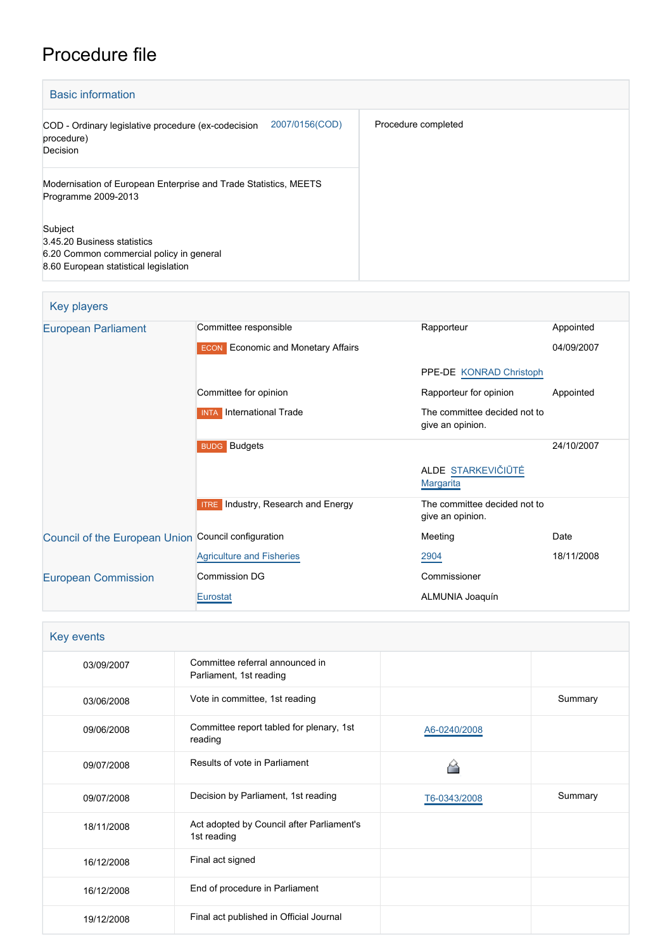# Procedure file

| <b>Basic information</b>                                                                                                    |                     |
|-----------------------------------------------------------------------------------------------------------------------------|---------------------|
| 2007/0156(COD)<br>COD - Ordinary legislative procedure (ex-codecision<br>procedure)<br>Decision                             | Procedure completed |
| Modernisation of European Enterprise and Trade Statistics, MEETS<br>Programme 2009-2013                                     |                     |
| Subject<br>3.45.20 Business statistics<br>6.20 Common commercial policy in general<br>8.60 European statistical legislation |                     |

## Key players

| European Parliament                                 | Committee responsible                        | Rapporteur                                       | Appointed  |
|-----------------------------------------------------|----------------------------------------------|--------------------------------------------------|------------|
|                                                     | <b>ECON</b> Economic and Monetary Affairs    |                                                  | 04/09/2007 |
|                                                     |                                              | PPE-DE KONRAD Christoph                          |            |
|                                                     | Committee for opinion                        | Rapporteur for opinion                           | Appointed  |
|                                                     | <b>International Trade</b><br><b>INTA</b>    | The committee decided not to<br>give an opinion. |            |
|                                                     | <b>BUDG</b> Budgets                          |                                                  | 24/10/2007 |
|                                                     |                                              | ALDE STARKEVIČIŪTĖ<br><b>Margarita</b>           |            |
|                                                     | Industry, Research and Energy<br><b>ITRE</b> | The committee decided not to                     |            |
|                                                     |                                              | give an opinion.                                 |            |
| Council of the European Union Council configuration |                                              | Meeting                                          | Date       |
|                                                     | <b>Agriculture and Fisheries</b>             | 2904                                             | 18/11/2008 |
| <b>European Commission</b>                          | <b>Commission DG</b>                         | Commissioner                                     |            |

#### Key events

| 03/09/2007 | Committee referral announced in<br>Parliament, 1st reading |              |         |
|------------|------------------------------------------------------------|--------------|---------|
| 03/06/2008 | Vote in committee, 1st reading                             |              | Summary |
| 09/06/2008 | Committee report tabled for plenary, 1st<br>reading        | A6-0240/2008 |         |
| 09/07/2008 | Results of vote in Parliament                              |              |         |
| 09/07/2008 | Decision by Parliament, 1st reading                        | T6-0343/2008 | Summary |
| 18/11/2008 | Act adopted by Council after Parliament's<br>1st reading   |              |         |
| 16/12/2008 | Final act signed                                           |              |         |
| 16/12/2008 | End of procedure in Parliament                             |              |         |
| 19/12/2008 | Final act published in Official Journal                    |              |         |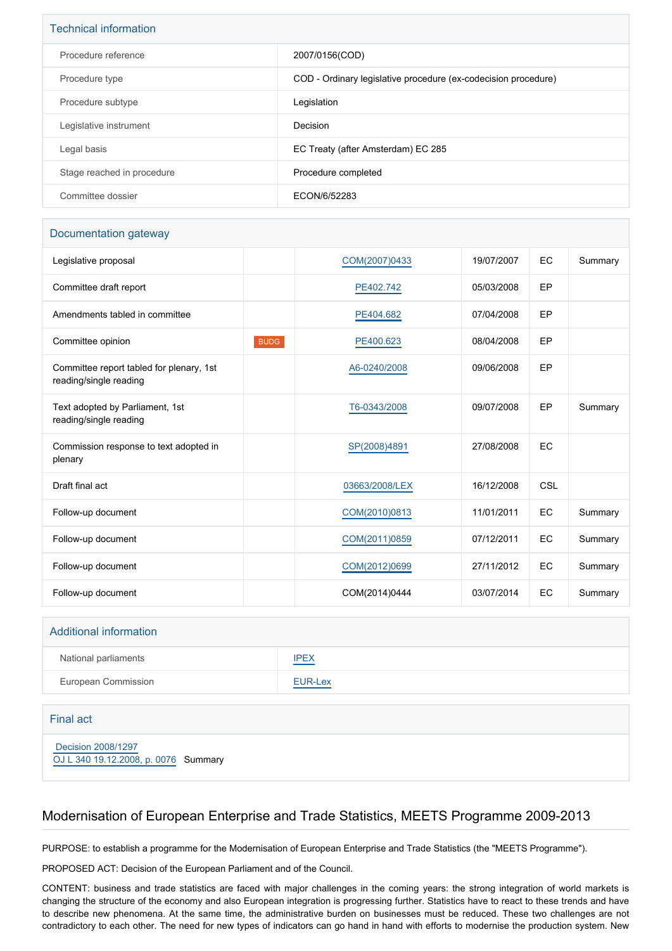| <b>Technical information</b> |                                                                |
|------------------------------|----------------------------------------------------------------|
| Procedure reference          | 2007/0156(COD)                                                 |
| Procedure type               | COD - Ordinary legislative procedure (ex-codecision procedure) |
| Procedure subtype            | Legislation                                                    |
| Legislative instrument       | Decision                                                       |
| Legal basis                  | EC Treaty (after Amsterdam) EC 285                             |
| Stage reached in procedure   | Procedure completed                                            |
| Committee dossier            | ECON/6/52283                                                   |

#### Documentation gateway

| Legislative proposal                                               |             | COM(2007)0433  | 19/07/2007 | EC  | Summary |
|--------------------------------------------------------------------|-------------|----------------|------------|-----|---------|
| Committee draft report                                             |             | PE402.742      | 05/03/2008 | EP  |         |
| Amendments tabled in committee                                     |             | PE404.682      | 07/04/2008 | EP  |         |
| Committee opinion                                                  | <b>BUDG</b> | PE400.623      | 08/04/2008 | EP  |         |
| Committee report tabled for plenary, 1st<br>reading/single reading |             | A6-0240/2008   | 09/06/2008 | EP  |         |
| Text adopted by Parliament, 1st<br>reading/single reading          |             | T6-0343/2008   | 09/07/2008 | EP  | Summary |
| Commission response to text adopted in<br>plenary                  |             | SP(2008)4891   | 27/08/2008 | EC  |         |
| Draft final act                                                    |             | 03663/2008/LEX | 16/12/2008 | CSL |         |
| Follow-up document                                                 |             | COM(2010)0813  | 11/01/2011 | EC  | Summary |
| Follow-up document                                                 |             | COM(2011)0859  | 07/12/2011 | EC  | Summary |
| Follow-up document                                                 |             | COM(2012)0699  | 27/11/2012 | EC  | Summary |
| Follow-up document                                                 |             | COM(2014)0444  | 03/07/2014 | EC  | Summary |

#### Additional information

| National parliaments | <b>IPEX</b>    |
|----------------------|----------------|
| European Commission  | <b>EUR-Lex</b> |

#### Final act

 [Decision 2008/1297](https://eur-lex.europa.eu/smartapi/cgi/sga_doc?smartapi!celexplus!prod!CELEXnumdoc&lg=EN&numdoc=32008D1297) [OJ L 340 19.12.2008, p. 0076](https://eur-lex.europa.eu/JOHtml.do?uri=OJ:L:2008:340:SOM:EN:HTML) Summary

## Modernisation of European Enterprise and Trade Statistics, MEETS Programme 2009-2013

PURPOSE: to establish a programme for the Modernisation of European Enterprise and Trade Statistics (the "MEETS Programme").

PROPOSED ACT: Decision of the European Parliament and of the Council.

CONTENT: business and trade statistics are faced with major challenges in the coming years: the strong integration of world markets is changing the structure of the economy and also European integration is progressing further. Statistics have to react to these trends and have to describe new phenomena. At the same time, the administrative burden on businesses must be reduced. These two challenges are not contradictory to each other. The need for new types of indicators can go hand in hand with efforts to modernise the production system. New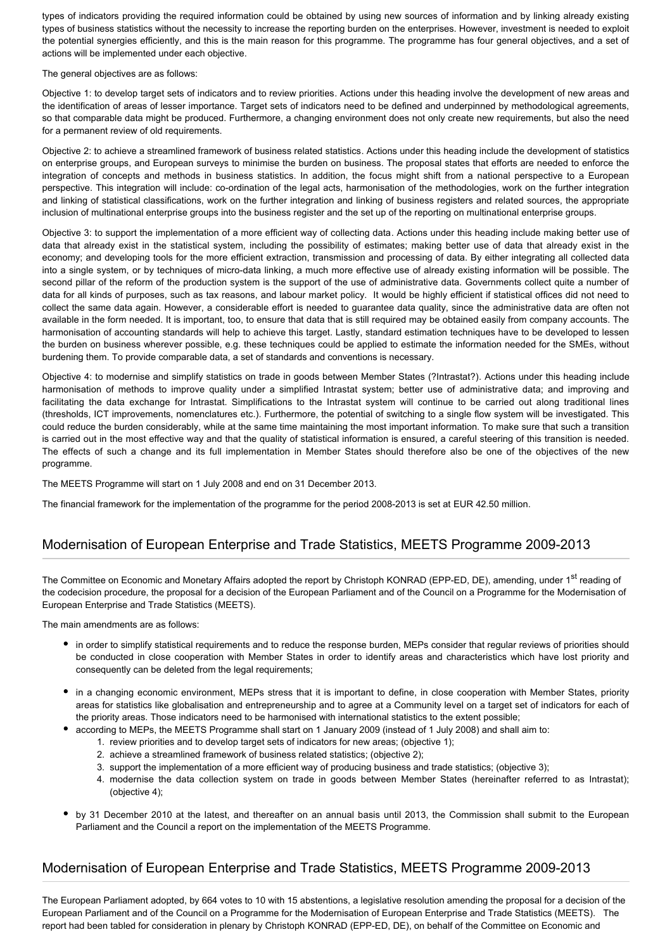types of indicators providing the required information could be obtained by using new sources of information and by linking already existing types of business statistics without the necessity to increase the reporting burden on the enterprises. However, investment is needed to exploit the potential synergies efficiently, and this is the main reason for this programme. The programme has four general objectives, and a set of actions will be implemented under each objective.

The general objectives are as follows:

Objective 1: to develop target sets of indicators and to review priorities. Actions under this heading involve the development of new areas and the identification of areas of lesser importance. Target sets of indicators need to be defined and underpinned by methodological agreements, so that comparable data might be produced. Furthermore, a changing environment does not only create new requirements, but also the need for a permanent review of old requirements.

Objective 2: to achieve a streamlined framework of business related statistics. Actions under this heading include the development of statistics on enterprise groups, and European surveys to minimise the burden on business. The proposal states that efforts are needed to enforce the integration of concepts and methods in business statistics. In addition, the focus might shift from a national perspective to a European perspective. This integration will include: co-ordination of the legal acts, harmonisation of the methodologies, work on the further integration and linking of statistical classifications, work on the further integration and linking of business registers and related sources, the appropriate inclusion of multinational enterprise groups into the business register and the set up of the reporting on multinational enterprise groups.

Objective 3: to support the implementation of a more efficient way of collecting data. Actions under this heading include making better use of data that already exist in the statistical system, including the possibility of estimates; making better use of data that already exist in the economy; and developing tools for the more efficient extraction, transmission and processing of data. By either integrating all collected data into a single system, or by techniques of micro-data linking, a much more effective use of already existing information will be possible. The second pillar of the reform of the production system is the support of the use of administrative data. Governments collect quite a number of data for all kinds of purposes, such as tax reasons, and labour market policy. It would be highly efficient if statistical offices did not need to collect the same data again. However, a considerable effort is needed to guarantee data quality, since the administrative data are often not available in the form needed. It is important, too, to ensure that data that is still required may be obtained easily from company accounts. The harmonisation of accounting standards will help to achieve this target. Lastly, standard estimation techniques have to be developed to lessen the burden on business wherever possible, e.g. these techniques could be applied to estimate the information needed for the SMEs, without burdening them. To provide comparable data, a set of standards and conventions is necessary.

Objective 4: to modernise and simplify statistics on trade in goods between Member States (?Intrastat?). Actions under this heading include harmonisation of methods to improve quality under a simplified Intrastat system; better use of administrative data; and improving and facilitating the data exchange for Intrastat. Simplifications to the Intrastat system will continue to be carried out along traditional lines (thresholds, ICT improvements, nomenclatures etc.). Furthermore, the potential of switching to a single flow system will be investigated. This could reduce the burden considerably, while at the same time maintaining the most important information. To make sure that such a transition is carried out in the most effective way and that the quality of statistical information is ensured, a careful steering of this transition is needed. The effects of such a change and its full implementation in Member States should therefore also be one of the objectives of the new programme.

The MEETS Programme will start on 1 July 2008 and end on 31 December 2013.

The financial framework for the implementation of the programme for the period 2008-2013 is set at EUR 42.50 million.

## Modernisation of European Enterprise and Trade Statistics, MEETS Programme 2009-2013

The Committee on Economic and Monetary Affairs adopted the report by Christoph KONRAD (EPP-ED, DE), amending, under 1<sup>st</sup> reading of the codecision procedure, the proposal for a decision of the European Parliament and of the Council on a Programme for the Modernisation of European Enterprise and Trade Statistics (MEETS).

The main amendments are as follows:

- in order to simplify statistical requirements and to reduce the response burden, MEPs consider that regular reviews of priorities should be conducted in close cooperation with Member States in order to identify areas and characteristics which have lost priority and consequently can be deleted from the legal requirements;
- in a changing economic environment, MEPs stress that it is important to define, in close cooperation with Member States, priority areas for statistics like globalisation and entrepreneurship and to agree at a Community level on a target set of indicators for each of the priority areas. Those indicators need to be harmonised with international statistics to the extent possible;
	- according to MEPs, the MEETS Programme shall start on 1 January 2009 (instead of 1 July 2008) and shall aim to:
		- 1. review priorities and to develop target sets of indicators for new areas; (objective 1);
		- 2. achieve a streamlined framework of business related statistics; (objective 2);
		- 3. support the implementation of a more efficient way of producing business and trade statistics; (objective 3);
		- 4. modernise the data collection system on trade in goods between Member States (hereinafter referred to as Intrastat); (objective 4);
- by 31 December 2010 at the latest, and thereafter on an annual basis until 2013, the Commission shall submit to the European Parliament and the Council a report on the implementation of the MEETS Programme.

## Modernisation of European Enterprise and Trade Statistics, MEETS Programme 2009-2013

The European Parliament adopted, by 664 votes to 10 with 15 abstentions, a legislative resolution amending the proposal for a decision of the European Parliament and of the Council on a Programme for the Modernisation of European Enterprise and Trade Statistics (MEETS). The report had been tabled for consideration in plenary by Christoph KONRAD (EPP-ED, DE), on behalf of the Committee on Economic and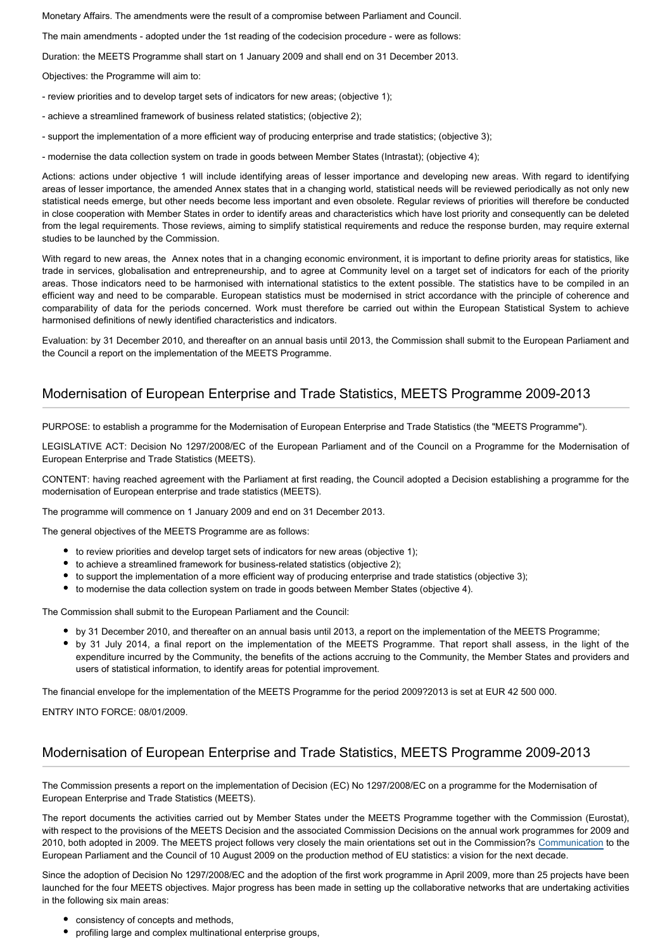Monetary Affairs. The amendments were the result of a compromise between Parliament and Council.

The main amendments - adopted under the 1st reading of the codecision procedure - were as follows:

Duration: the MEETS Programme shall start on 1 January 2009 and shall end on 31 December 2013.

Objectives: the Programme will aim to:

- review priorities and to develop target sets of indicators for new areas; (objective 1);
- achieve a streamlined framework of business related statistics; (objective 2);
- support the implementation of a more efficient way of producing enterprise and trade statistics; (objective 3);
- modernise the data collection system on trade in goods between Member States (Intrastat); (objective 4);

Actions: actions under objective 1 will include identifying areas of lesser importance and developing new areas. With regard to identifying areas of lesser importance, the amended Annex states that in a changing world, statistical needs will be reviewed periodically as not only new statistical needs emerge, but other needs become less important and even obsolete. Regular reviews of priorities will therefore be conducted in close cooperation with Member States in order to identify areas and characteristics which have lost priority and consequently can be deleted from the legal requirements. Those reviews, aiming to simplify statistical requirements and reduce the response burden, may require external studies to be launched by the Commission.

With regard to new areas, the Annex notes that in a changing economic environment, it is important to define priority areas for statistics, like trade in services, globalisation and entrepreneurship, and to agree at Community level on a target set of indicators for each of the priority areas. Those indicators need to be harmonised with international statistics to the extent possible. The statistics have to be compiled in an efficient way and need to be comparable. European statistics must be modernised in strict accordance with the principle of coherence and comparability of data for the periods concerned. Work must therefore be carried out within the European Statistical System to achieve harmonised definitions of newly identified characteristics and indicators.

Evaluation: by 31 December 2010, and thereafter on an annual basis until 2013, the Commission shall submit to the European Parliament and the Council a report on the implementation of the MEETS Programme.

#### Modernisation of European Enterprise and Trade Statistics, MEETS Programme 2009-2013

PURPOSE: to establish a programme for the Modernisation of European Enterprise and Trade Statistics (the "MEETS Programme").

LEGISLATIVE ACT: Decision No 1297/2008/EC of the European Parliament and of the Council on a Programme for the Modernisation of European Enterprise and Trade Statistics (MEETS).

CONTENT: having reached agreement with the Parliament at first reading, the Council adopted a Decision establishing a programme for the modernisation of European enterprise and trade statistics (MEETS).

The programme will commence on 1 January 2009 and end on 31 December 2013.

The general objectives of the MEETS Programme are as follows:

- to review priorities and develop target sets of indicators for new areas (objective 1);
- to achieve a streamlined framework for business-related statistics (objective 2);
- to support the implementation of a more efficient way of producing enterprise and trade statistics (objective 3);
- to modernise the data collection system on trade in goods between Member States (objective 4).

The Commission shall submit to the European Parliament and the Council:

- by 31 December 2010, and thereafter on an annual basis until 2013, a report on the implementation of the MEETS Programme;
- by 31 July 2014, a final report on the implementation of the MEETS Programme. That report shall assess, in the light of the expenditure incurred by the Community, the benefits of the actions accruing to the Community, the Member States and providers and users of statistical information, to identify areas for potential improvement.

The financial envelope for the implementation of the MEETS Programme for the period 2009?2013 is set at EUR 42 500 000.

ENTRY INTO FORCE: 08/01/2009.

#### Modernisation of European Enterprise and Trade Statistics, MEETS Programme 2009-2013

The Commission presents a report on the implementation of Decision (EC) No 1297/2008/EC on a programme for the Modernisation of European Enterprise and Trade Statistics (MEETS).

The report documents the activities carried out by Member States under the MEETS Programme together with the Commission (Eurostat), with respect to the provisions of the MEETS Decision and the associated Commission Decisions on the annual work programmes for 2009 and 2010, both adopted in 2009. The MEETS project follows very closely the main orientations set out in the Commission?s [Communication](http://eur-lex.europa.eu/LexUriServ/LexUriServ.do?uri=COM:2009:0404:FIN:EN:PDF) to the European Parliament and the Council of 10 August 2009 on the production method of EU statistics: a vision for the next decade.

Since the adoption of Decision No 1297/2008/EC and the adoption of the first work programme in April 2009, more than 25 projects have been launched for the four MEETS objectives. Major progress has been made in setting up the collaborative networks that are undertaking activities in the following six main areas:

- consistency of concepts and methods,
- profiling large and complex multinational enterprise groups,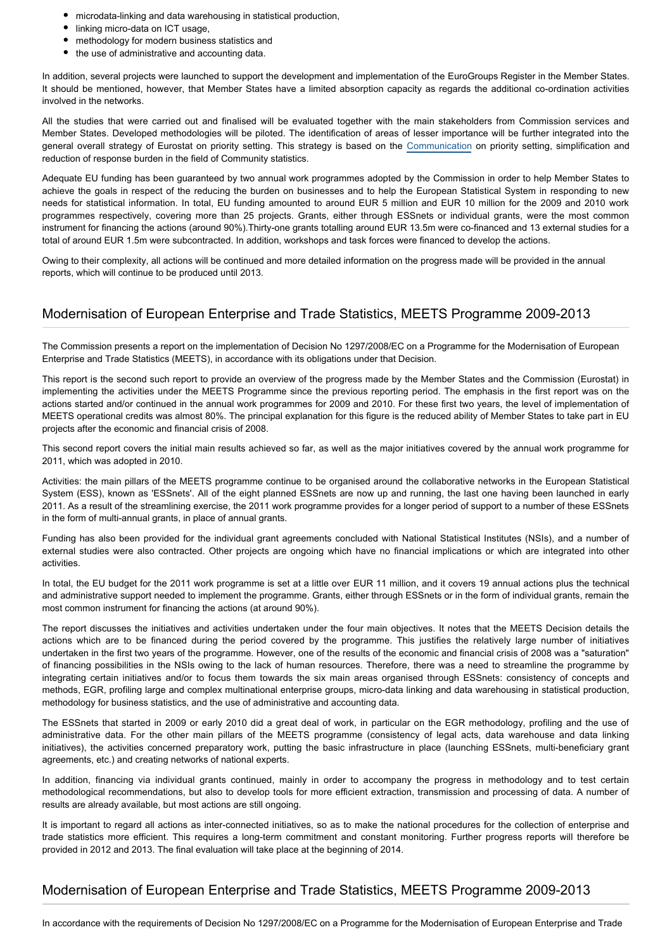- microdata-linking and data warehousing in statistical production,
- linking micro-data on ICT usage,
- methodology for modern business statistics and
- the use of administrative and accounting data.

In addition, several projects were launched to support the development and implementation of the EuroGroups Register in the Member States. It should be mentioned, however, that Member States have a limited absorption capacity as regards the additional co-ordination activities involved in the networks.

All the studies that were carried out and finalised will be evaluated together with the main stakeholders from Commission services and Member States. Developed methodologies will be piloted. The identification of areas of lesser importance will be further integrated into the general overall strategy of Eurostat on priority setting. This strategy is based on the [Communication](http://eur-lex.europa.eu/LexUriServ/LexUriServ.do?uri=COM:2006:0693:FIN:EN:PDF) on priority setting, simplification and reduction of response burden in the field of Community statistics.

Adequate EU funding has been guaranteed by two annual work programmes adopted by the Commission in order to help Member States to achieve the goals in respect of the reducing the burden on businesses and to help the European Statistical System in responding to new needs for statistical information. In total, EU funding amounted to around EUR 5 million and EUR 10 million for the 2009 and 2010 work programmes respectively, covering more than 25 projects. Grants, either through ESSnets or individual grants, were the most common instrument for financing the actions (around 90%).Thirty-one grants totalling around EUR 13.5m were co-financed and 13 external studies for a total of around EUR 1.5m were subcontracted. In addition, workshops and task forces were financed to develop the actions.

Owing to their complexity, all actions will be continued and more detailed information on the progress made will be provided in the annual reports, which will continue to be produced until 2013.

## Modernisation of European Enterprise and Trade Statistics, MEETS Programme 2009-2013

The Commission presents a report on the implementation of Decision No 1297/2008/EC on a Programme for the Modernisation of European Enterprise and Trade Statistics (MEETS), in accordance with its obligations under that Decision.

This report is the second such report to provide an overview of the progress made by the Member States and the Commission (Eurostat) in implementing the activities under the MEETS Programme since the previous reporting period. The emphasis in the first report was on the actions started and/or continued in the annual work programmes for 2009 and 2010. For these first two years, the level of implementation of MEETS operational credits was almost 80%. The principal explanation for this figure is the reduced ability of Member States to take part in EU projects after the economic and financial crisis of 2008.

This second report covers the initial main results achieved so far, as well as the major initiatives covered by the annual work programme for 2011, which was adopted in 2010.

Activities: the main pillars of the MEETS programme continue to be organised around the collaborative networks in the European Statistical System (ESS), known as 'ESSnets'. All of the eight planned ESSnets are now up and running, the last one having been launched in early 2011. As a result of the streamlining exercise, the 2011 work programme provides for a longer period of support to a number of these ESSnets in the form of multi-annual grants, in place of annual grants.

Funding has also been provided for the individual grant agreements concluded with National Statistical Institutes (NSIs), and a number of external studies were also contracted. Other projects are ongoing which have no financial implications or which are integrated into other activities.

In total, the EU budget for the 2011 work programme is set at a little over EUR 11 million, and it covers 19 annual actions plus the technical and administrative support needed to implement the programme. Grants, either through ESSnets or in the form of individual grants, remain the most common instrument for financing the actions (at around 90%).

The report discusses the initiatives and activities undertaken under the four main objectives. It notes that the MEETS Decision details the actions which are to be financed during the period covered by the programme. This justifies the relatively large number of initiatives undertaken in the first two years of the programme. However, one of the results of the economic and financial crisis of 2008 was a "saturation" of financing possibilities in the NSIs owing to the lack of human resources. Therefore, there was a need to streamline the programme by integrating certain initiatives and/or to focus them towards the six main areas organised through ESSnets: consistency of concepts and methods, EGR, profiling large and complex multinational enterprise groups, micro-data linking and data warehousing in statistical production, methodology for business statistics, and the use of administrative and accounting data.

The ESSnets that started in 2009 or early 2010 did a great deal of work, in particular on the EGR methodology, profiling and the use of administrative data. For the other main pillars of the MEETS programme (consistency of legal acts, data warehouse and data linking initiatives), the activities concerned preparatory work, putting the basic infrastructure in place (launching ESSnets, multi-beneficiary grant agreements, etc.) and creating networks of national experts.

In addition, financing via individual grants continued, mainly in order to accompany the progress in methodology and to test certain methodological recommendations, but also to develop tools for more efficient extraction, transmission and processing of data. A number of results are already available, but most actions are still ongoing.

It is important to regard all actions as inter-connected initiatives, so as to make the national procedures for the collection of enterprise and trade statistics more efficient. This requires a long-term commitment and constant monitoring. Further progress reports will therefore be provided in 2012 and 2013. The final evaluation will take place at the beginning of 2014.

## Modernisation of European Enterprise and Trade Statistics, MEETS Programme 2009-2013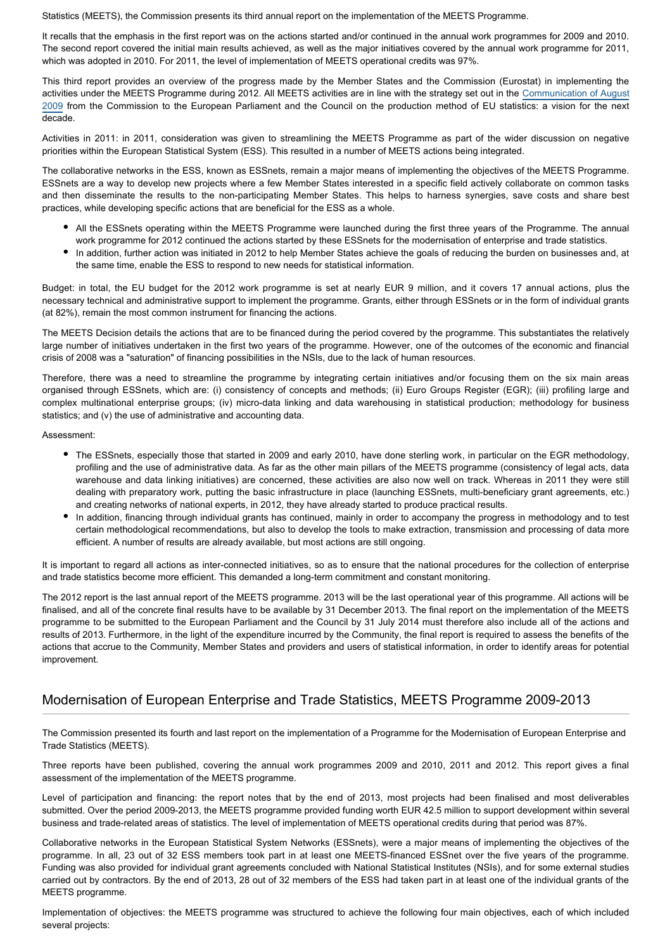Statistics (MEETS), the Commission presents its third annual report on the implementation of the MEETS Programme.

It recalls that the emphasis in the first report was on the actions started and/or continued in the annual work programmes for 2009 and 2010. The second report covered the initial main results achieved, as well as the major initiatives covered by the annual work programme for 2011, which was adopted in 2010. For 2011, the level of implementation of MEETS operational credits was 97%.

This third report provides an overview of the progress made by the Member States and the Commission (Eurostat) in implementing the activities under the MEETS Programme during 2012. All MEETS activities are in line with the strategy set out in the [Communication of August](http://www.eur-lex.europa.eu/LexUriServ/LexUriServ.do?uri=COM:2009:0404:FIN:EN:PDF) [2009](http://www.eur-lex.europa.eu/LexUriServ/LexUriServ.do?uri=COM:2009:0404:FIN:EN:PDF) from the Commission to the European Parliament and the Council on the production method of EU statistics: a vision for the next decade.

Activities in 2011: in 2011, consideration was given to streamlining the MEETS Programme as part of the wider discussion on negative priorities within the European Statistical System (ESS). This resulted in a number of MEETS actions being integrated.

The collaborative networks in the ESS, known as ESSnets, remain a major means of implementing the objectives of the MEETS Programme. ESSnets are a way to develop new projects where a few Member States interested in a specific field actively collaborate on common tasks and then disseminate the results to the non-participating Member States. This helps to harness synergies, save costs and share best practices, while developing specific actions that are beneficial for the ESS as a whole.

- All the ESSnets operating within the MEETS Programme were launched during the first three years of the Programme. The annual work programme for 2012 continued the actions started by these ESSnets for the modernisation of enterprise and trade statistics.
- In addition, further action was initiated in 2012 to help Member States achieve the goals of reducing the burden on businesses and, at the same time, enable the ESS to respond to new needs for statistical information.

Budget: in total, the EU budget for the 2012 work programme is set at nearly EUR 9 million, and it covers 17 annual actions, plus the necessary technical and administrative support to implement the programme. Grants, either through ESSnets or in the form of individual grants (at 82%), remain the most common instrument for financing the actions.

The MEETS Decision details the actions that are to be financed during the period covered by the programme. This substantiates the relatively large number of initiatives undertaken in the first two years of the programme. However, one of the outcomes of the economic and financial crisis of 2008 was a "saturation" of financing possibilities in the NSIs, due to the lack of human resources.

Therefore, there was a need to streamline the programme by integrating certain initiatives and/or focusing them on the six main areas organised through ESSnets, which are: (i) consistency of concepts and methods; (ii) Euro Groups Register (EGR); (iii) profiling large and complex multinational enterprise groups; (iv) micro-data linking and data warehousing in statistical production; methodology for business statistics; and (v) the use of administrative and accounting data.

Assessment:

- The ESSnets, especially those that started in 2009 and early 2010, have done sterling work, in particular on the EGR methodology, profiling and the use of administrative data. As far as the other main pillars of the MEETS programme (consistency of legal acts, data warehouse and data linking initiatives) are concerned, these activities are also now well on track. Whereas in 2011 they were still dealing with preparatory work, putting the basic infrastructure in place (launching ESSnets, multi-beneficiary grant agreements, etc.) and creating networks of national experts, in 2012, they have already started to produce practical results.
- In addition, financing through individual grants has continued, mainly in order to accompany the progress in methodology and to test certain methodological recommendations, but also to develop the tools to make extraction, transmission and processing of data more efficient. A number of results are already available, but most actions are still ongoing.

It is important to regard all actions as inter-connected initiatives, so as to ensure that the national procedures for the collection of enterprise and trade statistics become more efficient. This demanded a long-term commitment and constant monitoring.

The 2012 report is the last annual report of the MEETS programme. 2013 will be the last operational year of this programme. All actions will be finalised, and all of the concrete final results have to be available by 31 December 2013. The final report on the implementation of the MEETS programme to be submitted to the European Parliament and the Council by 31 July 2014 must therefore also include all of the actions and results of 2013. Furthermore, in the light of the expenditure incurred by the Community, the final report is required to assess the benefits of the actions that accrue to the Community, Member States and providers and users of statistical information, in order to identify areas for potential improvement.

## Modernisation of European Enterprise and Trade Statistics, MEETS Programme 2009-2013

The Commission presented its fourth and last report on the implementation of a Programme for the Modernisation of European Enterprise and Trade Statistics (MEETS).

Three reports have been published, covering the annual work programmes 2009 and 2010, 2011 and 2012. This report gives a final assessment of the implementation of the MEETS programme.

Level of participation and financing: the report notes that by the end of 2013, most projects had been finalised and most deliverables submitted. Over the period 2009-2013, the MEETS programme provided funding worth EUR 42.5 million to support development within several business and trade-related areas of statistics. The level of implementation of MEETS operational credits during that period was 87%.

Collaborative networks in the European Statistical System Networks (ESSnets), were a major means of implementing the objectives of the programme. In all, 23 out of 32 ESS members took part in at least one MEETS-financed ESSnet over the five years of the programme. Funding was also provided for individual grant agreements concluded with National Statistical Institutes (NSIs), and for some external studies carried out by contractors. By the end of 2013, 28 out of 32 members of the ESS had taken part in at least one of the individual grants of the MEETS programme.

Implementation of objectives: the MEETS programme was structured to achieve the following four main objectives, each of which included several projects: